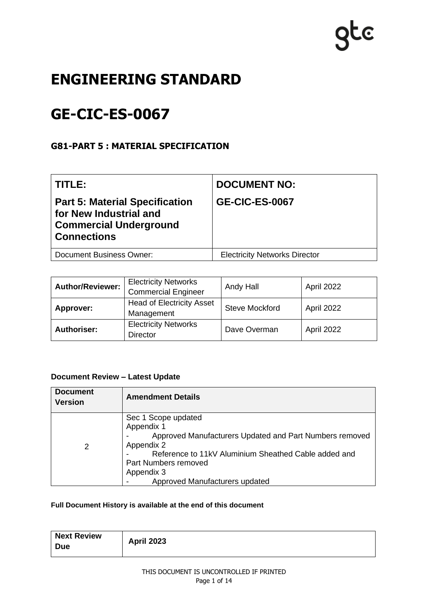# **QLC**

# **ENGINEERING STANDARD**

# **GE-CIC-ES-0067**

# **G81-PART 5 : MATERIAL SPECIFICATION**

| TITLE:                                                                                                                 | <b>DOCUMENT NO:</b>                  |
|------------------------------------------------------------------------------------------------------------------------|--------------------------------------|
| <b>Part 5: Material Specification</b><br>for New Industrial and<br><b>Commercial Underground</b><br><b>Connections</b> | <b>GE-CIC-ES-0067</b>                |
| <b>Document Business Owner:</b>                                                                                        | <b>Electricity Networks Director</b> |

| <b>Author/Reviewer:</b> | <b>Electricity Networks</b><br><b>Commercial Engineer</b> | Andy Hall             | April 2022 |
|-------------------------|-----------------------------------------------------------|-----------------------|------------|
| Approver:               | <b>Head of Electricity Asset</b><br>Management            | <b>Steve Mockford</b> | April 2022 |
| <b>Authoriser:</b>      | <b>Electricity Networks</b><br><b>Director</b>            | Dave Overman          | April 2022 |

### **Document Review – Latest Update**

| <b>Document</b><br><b>Version</b> | <b>Amendment Details</b>                                                                                                                                                                                                                   |
|-----------------------------------|--------------------------------------------------------------------------------------------------------------------------------------------------------------------------------------------------------------------------------------------|
| 2                                 | Sec 1 Scope updated<br>Appendix 1<br>Approved Manufacturers Updated and Part Numbers removed<br>Appendix 2<br>Reference to 11kV Aluminium Sheathed Cable added and<br>Part Numbers removed<br>Appendix 3<br>Approved Manufacturers updated |

#### **Full Document History is available at the end of this document**

| <b>Next Review</b><br><b>Due</b> | <b>April 2023</b> |
|----------------------------------|-------------------|
|----------------------------------|-------------------|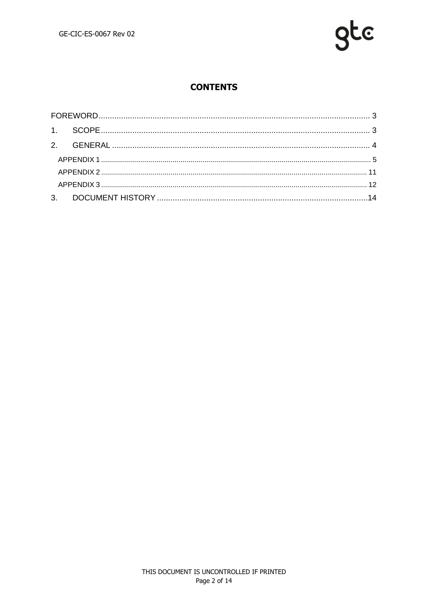

# **CONTENTS**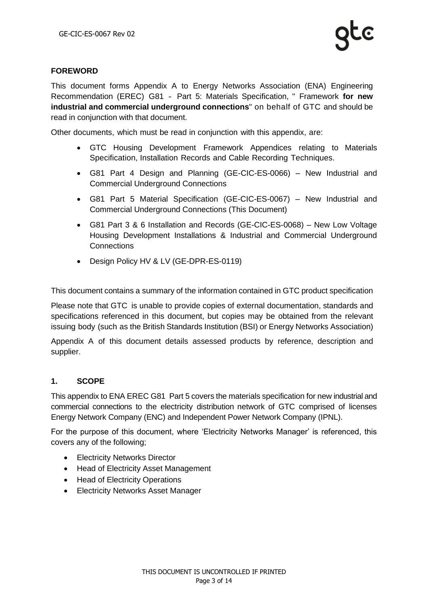#### <span id="page-2-0"></span>**FOREWORD**

This document forms Appendix A to Energy Networks Association (ENA) Engineering Recommendation (EREC) G81 ‐ Part 5: Materials Specification, " Framework **for new industrial and commercial underground connections**" on behalf of GTC and should be read in conjunction with that document.

Other documents, which must be read in conjunction with this appendix, are:

- GTC Housing Development Framework Appendices relating to Materials Specification, Installation Records and Cable Recording Techniques.
- G81 Part 4 Design and Planning (GE-CIC-ES-0066) New Industrial and Commercial Underground Connections
- G81 Part 5 Material Specification (GE-CIC-ES-0067) New Industrial and Commercial Underground Connections (This Document)
- G81 Part 3 & 6 Installation and Records (GE-CIC-ES-0068) New Low Voltage Housing Development Installations & Industrial and Commercial Underground **Connections**
- Design Policy HV & LV (GE-DPR-ES-0119)

This document contains a summary of the information contained in GTC product specification

Please note that GTC is unable to provide copies of external documentation, standards and specifications referenced in this document, but copies may be obtained from the relevant issuing body (such as the British Standards Institution (BSI) or Energy Networks Association)

Appendix A of this document details assessed products by reference, description and supplier.

#### <span id="page-2-1"></span>**1. SCOPE**

This appendix to ENA EREC G81 Part 5 covers the materials specification for new industrial and commercial connections to the electricity distribution network of GTC comprised of licenses Energy Network Company (ENC) and Independent Power Network Company (IPNL).

For the purpose of this document, where 'Electricity Networks Manager' is referenced, this covers any of the following;

- Electricity Networks Director
- Head of Electricity Asset Management
- Head of Electricity Operations
- Electricity Networks Asset Manager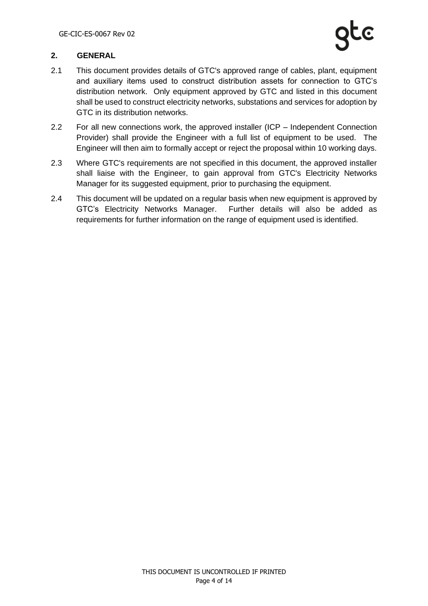#### <span id="page-3-0"></span>**2. GENERAL**

- 2.1 This document provides details of GTC's approved range of cables, plant, equipment and auxiliary items used to construct distribution assets for connection to GTC's distribution network. Only equipment approved by GTC and listed in this document shall be used to construct electricity networks, substations and services for adoption by GTC in its distribution networks.
- 2.2 For all new connections work, the approved installer (ICP Independent Connection Provider) shall provide the Engineer with a full list of equipment to be used. The Engineer will then aim to formally accept or reject the proposal within 10 working days.
- 2.3 Where GTC's requirements are not specified in this document, the approved installer shall liaise with the Engineer, to gain approval from GTC's Electricity Networks Manager for its suggested equipment, prior to purchasing the equipment.
- 2.4 This document will be updated on a regular basis when new equipment is approved by GTC's Electricity Networks Manager. Further details will also be added as requirements for further information on the range of equipment used is identified.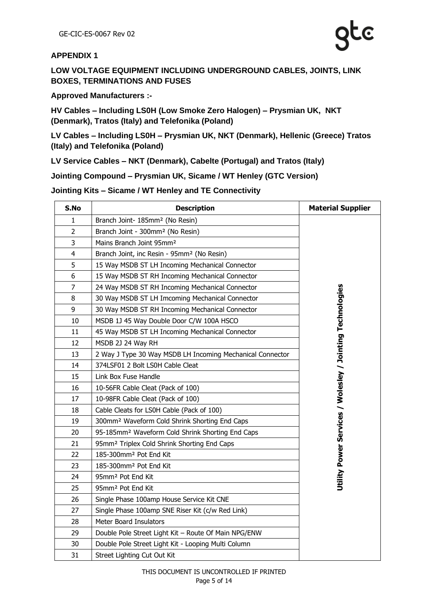#### <span id="page-4-0"></span>**APPENDIX 1**

**LOW VOLTAGE EQUIPMENT INCLUDING UNDERGROUND CABLES, JOINTS, LINK BOXES, TERMINATIONS AND FUSES**

**Approved Manufacturers :-**

**HV Cables – Including LS0H (Low Smoke Zero Halogen) – Prysmian UK, NKT (Denmark), Tratos (Italy) and Telefonika (Poland)** 

**LV Cables – Including LS0H – Prysmian UK, NKT (Denmark), Hellenic (Greece) Tratos (Italy) and Telefonika (Poland)**

**LV Service Cables – NKT (Denmark), Cabelte (Portugal) and Tratos (Italy)**

**Jointing Compound – Prysmian UK, Sicame / WT Henley (GTC Version)**

#### **Jointing Kits – Sicame / WT Henley and TE Connectivity**

| S.No           | <b>Description</b>                                           | <b>Material Supplier</b>                                  |
|----------------|--------------------------------------------------------------|-----------------------------------------------------------|
| 1              | Branch Joint- 185mm <sup>2</sup> (No Resin)                  |                                                           |
| 2              | Branch Joint - 300mm <sup>2</sup> (No Resin)                 |                                                           |
| 3              | Mains Branch Joint 95mm <sup>2</sup>                         |                                                           |
| 4              | Branch Joint, inc Resin - 95mm <sup>2</sup> (No Resin)       |                                                           |
| 5              | 15 Way MSDB ST LH Incoming Mechanical Connector              |                                                           |
| 6              | 15 Way MSDB ST RH Incoming Mechanical Connector              |                                                           |
| $\overline{7}$ | 24 Way MSDB ST RH Incoming Mechanical Connector              |                                                           |
| 8              | 30 Way MSDB ST LH Imcoming Mechanical Connector              |                                                           |
| 9              | 30 Way MSDB ST RH Incoming Mechanical Connector              |                                                           |
| 10             | MSDB 1J 45 Way Double Door C/W 100A HSCO                     |                                                           |
| 11             | 45 Way MSDB ST LH Incoming Mechanical Connector              |                                                           |
| 12             | MSDB 2J 24 Way RH                                            |                                                           |
| 13             | 2 Way J Type 30 Way MSDB LH Incoming Mechanical Connector    |                                                           |
| 14             | 374LSF01 2 Bolt LS0H Cable Cleat                             |                                                           |
| 15             | Link Box Fuse Handle                                         |                                                           |
| 16             | 10-56FR Cable Cleat (Pack of 100)                            | Utility Power Services / Wolesley / Jointing Technologies |
| 17             | 10-98FR Cable Cleat (Pack of 100)                            |                                                           |
| 18             | Cable Cleats for LS0H Cable (Pack of 100)                    |                                                           |
| 19             | 300mm <sup>2</sup> Waveform Cold Shrink Shorting End Caps    |                                                           |
| 20             | 95-185mm <sup>2</sup> Waveform Cold Shrink Shorting End Caps |                                                           |
| 21             | 95mm <sup>2</sup> Triplex Cold Shrink Shorting End Caps      |                                                           |
| 22             | 185-300mm <sup>2</sup> Pot End Kit                           |                                                           |
| 23             | 185-300mm <sup>2</sup> Pot End Kit                           |                                                           |
| 24             | 95mm <sup>2</sup> Pot End Kit                                |                                                           |
| 25             | 95mm <sup>2</sup> Pot End Kit                                |                                                           |
| 26             | Single Phase 100amp House Service Kit CNE                    |                                                           |
| 27             | Single Phase 100amp SNE Riser Kit (c/w Red Link)             |                                                           |
| 28             | Meter Board Insulators                                       |                                                           |
| 29             | Double Pole Street Light Kit - Route Of Main NPG/ENW         |                                                           |
| 30             | Double Pole Street Light Kit - Looping Multi Column          |                                                           |
| 31             | Street Lighting Cut Out Kit                                  |                                                           |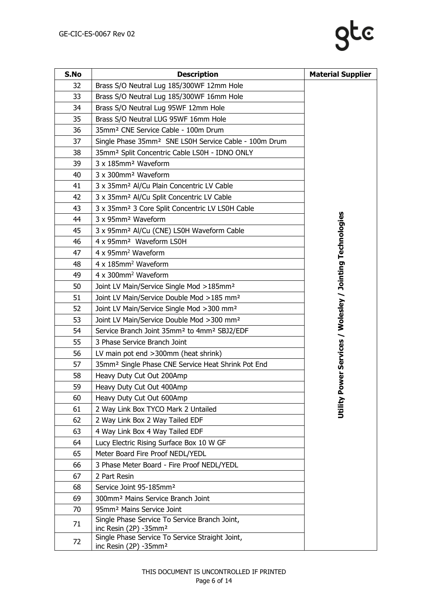| S.No | <b>Description</b>                                                                   | <b>Material Supplier</b>                         |
|------|--------------------------------------------------------------------------------------|--------------------------------------------------|
| 32   | Brass S/O Neutral Lug 185/300WF 12mm Hole                                            |                                                  |
| 33   | Brass S/O Neutral Lug 185/300WF 16mm Hole                                            |                                                  |
| 34   | Brass S/O Neutral Lug 95WF 12mm Hole                                                 |                                                  |
| 35   | Brass S/O Neutral LUG 95WF 16mm Hole                                                 |                                                  |
| 36   | 35mm <sup>2</sup> CNE Service Cable - 100m Drum                                      |                                                  |
| 37   | Single Phase 35mm <sup>2</sup> SNE LS0H Service Cable - 100m Drum                    |                                                  |
| 38   | 35mm <sup>2</sup> Split Concentric Cable LS0H - IDNO ONLY                            |                                                  |
| 39   | 3 x 185mm <sup>2</sup> Waveform                                                      |                                                  |
| 40   | 3 x 300mm <sup>2</sup> Waveform                                                      |                                                  |
| 41   | 3 x 35mm <sup>2</sup> Al/Cu Plain Concentric LV Cable                                |                                                  |
| 42   | 3 x 35mm <sup>2</sup> Al/Cu Split Concentric LV Cable                                |                                                  |
| 43   | 3 x 35mm <sup>2</sup> 3 Core Split Concentric LV LS0H Cable                          |                                                  |
| 44   | 3 x 95mm <sup>2</sup> Waveform                                                       |                                                  |
| 45   | 3 x 95mm <sup>2</sup> Al/Cu (CNE) LS0H Waveform Cable                                |                                                  |
| 46   | 4 x 95mm <sup>2</sup> Waveform LS0H                                                  |                                                  |
| 47   | 4 x 95mm <sup>2</sup> Waveform                                                       |                                                  |
| 48   | 4 x 185mm <sup>2</sup> Waveform                                                      |                                                  |
| 49   | 4 x 300mm <sup>2</sup> Waveform                                                      |                                                  |
| 50   | Joint LV Main/Service Single Mod > 185mm <sup>2</sup>                                |                                                  |
| 51   | Joint LV Main/Service Double Mod >185 mm <sup>2</sup>                                |                                                  |
| 52   | Joint LV Main/Service Single Mod > 300 mm <sup>2</sup>                               |                                                  |
| 53   | Joint LV Main/Service Double Mod >300 mm <sup>2</sup>                                | ower Services / Wolesley / Jointing Technologies |
| 54   | Service Branch Joint 35mm <sup>2</sup> to 4mm <sup>2</sup> SBJ2/EDF                  |                                                  |
| 55   | 3 Phase Service Branch Joint                                                         |                                                  |
| 56   | LV main pot end >300mm (heat shrink)                                                 |                                                  |
| 57   | 35mm <sup>2</sup> Single Phase CNE Service Heat Shrink Pot End                       |                                                  |
| 58   | Heavy Duty Cut Out 200Amp                                                            |                                                  |
| 59   | Heavy Duty Cut Out 400Amp                                                            |                                                  |
| 60   | Heavy Duty Cut Out 600Amp                                                            | Utility P                                        |
| 61   | 2 Way Link Box TYCO Mark 2 Untailed                                                  |                                                  |
| 62   | 2 Way Link Box 2 Way Tailed EDF                                                      |                                                  |
| 63   | 4 Way Link Box 4 Way Tailed EDF                                                      |                                                  |
| 64   | Lucy Electric Rising Surface Box 10 W GF                                             |                                                  |
| 65   | Meter Board Fire Proof NEDL/YEDL                                                     |                                                  |
| 66   | 3 Phase Meter Board - Fire Proof NEDL/YEDL                                           |                                                  |
| 67   | 2 Part Resin                                                                         |                                                  |
| 68   | Service Joint 95-185mm <sup>2</sup>                                                  |                                                  |
| 69   | 300mm <sup>2</sup> Mains Service Branch Joint                                        |                                                  |
| 70   | 95mm <sup>2</sup> Mains Service Joint                                                |                                                  |
| 71   | Single Phase Service To Service Branch Joint,<br>inc Resin (2P) -35mm <sup>2</sup>   |                                                  |
| 72   | Single Phase Service To Service Straight Joint,<br>inc Resin (2P) -35mm <sup>2</sup> |                                                  |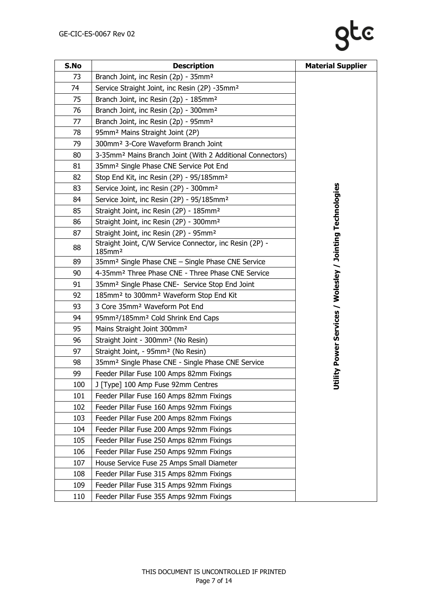# gte

| S.No | <b>Description</b>                                                            | <b>Material Supplier</b>                                |
|------|-------------------------------------------------------------------------------|---------------------------------------------------------|
| 73   | Branch Joint, inc Resin (2p) - 35mm <sup>2</sup>                              |                                                         |
| 74   | Service Straight Joint, inc Resin (2P) -35mm <sup>2</sup>                     |                                                         |
| 75   | Branch Joint, inc Resin (2p) - 185mm <sup>2</sup>                             |                                                         |
| 76   | Branch Joint, inc Resin (2p) - 300mm <sup>2</sup>                             |                                                         |
| 77   | Branch Joint, inc Resin (2p) - 95mm <sup>2</sup>                              |                                                         |
| 78   | 95mm <sup>2</sup> Mains Straight Joint (2P)                                   |                                                         |
| 79   | 300mm <sup>2</sup> 3-Core Waveform Branch Joint                               |                                                         |
| 80   | 3-35mm <sup>2</sup> Mains Branch Joint (With 2 Additional Connectors)         |                                                         |
| 81   | 35mm <sup>2</sup> Single Phase CNE Service Pot End                            |                                                         |
| 82   | Stop End Kit, inc Resin (2P) - 95/185mm <sup>2</sup>                          |                                                         |
| 83   | Service Joint, inc Resin (2P) - 300mm <sup>2</sup>                            |                                                         |
| 84   | Service Joint, inc Resin (2P) - 95/185mm <sup>2</sup>                         |                                                         |
| 85   | Straight Joint, inc Resin (2P) - 185mm <sup>2</sup>                           |                                                         |
| 86   | Straight Joint, inc Resin (2P) - 300mm <sup>2</sup>                           |                                                         |
| 87   | Straight Joint, inc Resin (2P) - 95mm <sup>2</sup>                            |                                                         |
| 88   | Straight Joint, C/W Service Connector, inc Resin (2P) -<br>185mm <sup>2</sup> | ility Power Services / Wolesley / Jointing Technologies |
| 89   | 35mm <sup>2</sup> Single Phase CNE - Single Phase CNE Service                 |                                                         |
| 90   | 4-35mm <sup>2</sup> Three Phase CNE - Three Phase CNE Service                 |                                                         |
| 91   | 35mm <sup>2</sup> Single Phase CNE- Service Stop End Joint                    |                                                         |
| 92   | 185mm <sup>2</sup> to 300mm <sup>2</sup> Waveform Stop End Kit                |                                                         |
| 93   | 3 Core 35mm <sup>2</sup> Waveform Pot End                                     |                                                         |
| 94   | 95mm <sup>2</sup> /185mm <sup>2</sup> Cold Shrink End Caps                    |                                                         |
| 95   | Mains Straight Joint 300mm <sup>2</sup>                                       |                                                         |
| 96   | Straight Joint - 300mm <sup>2</sup> (No Resin)                                |                                                         |
| 97   | Straight Joint, - 95mm <sup>2</sup> (No Resin)                                |                                                         |
| 98   | 35mm <sup>2</sup> Single Phase CNE - Single Phase CNE Service                 |                                                         |
| 99   | Feeder Pillar Fuse 100 Amps 82mm Fixings                                      |                                                         |
| 100  | J [Type] 100 Amp Fuse 92mm Centres                                            | 5                                                       |
| 101  | Feeder Pillar Fuse 160 Amps 82mm Fixings                                      |                                                         |
| 102  | Feeder Pillar Fuse 160 Amps 92mm Fixings                                      |                                                         |
| 103  | Feeder Pillar Fuse 200 Amps 82mm Fixings                                      |                                                         |
| 104  | Feeder Pillar Fuse 200 Amps 92mm Fixings                                      |                                                         |
| 105  | Feeder Pillar Fuse 250 Amps 82mm Fixings                                      |                                                         |
| 106  | Feeder Pillar Fuse 250 Amps 92mm Fixings                                      |                                                         |
| 107  | House Service Fuse 25 Amps Small Diameter                                     |                                                         |
| 108  | Feeder Pillar Fuse 315 Amps 82mm Fixings                                      |                                                         |
| 109  | Feeder Pillar Fuse 315 Amps 92mm Fixings                                      |                                                         |
| 110  | Feeder Pillar Fuse 355 Amps 92mm Fixings                                      |                                                         |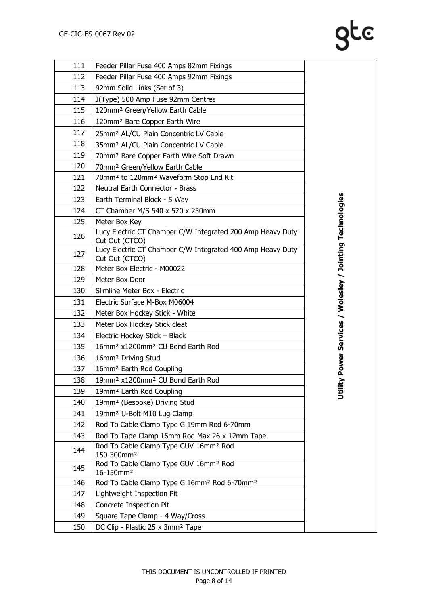| 111 | Feeder Pillar Fuse 400 Amps 82mm Fixings                                     |                                                   |
|-----|------------------------------------------------------------------------------|---------------------------------------------------|
| 112 | Feeder Pillar Fuse 400 Amps 92mm Fixings                                     |                                                   |
| 113 | 92mm Solid Links (Set of 3)                                                  |                                                   |
| 114 | J(Type) 500 Amp Fuse 92mm Centres                                            |                                                   |
| 115 | 120mm <sup>2</sup> Green/Yellow Earth Cable                                  |                                                   |
| 116 | 120mm <sup>2</sup> Bare Copper Earth Wire                                    |                                                   |
| 117 | 25mm <sup>2</sup> AL/CU Plain Concentric LV Cable                            |                                                   |
| 118 | 35mm <sup>2</sup> AL/CU Plain Concentric LV Cable                            |                                                   |
| 119 | 70mm <sup>2</sup> Bare Copper Earth Wire Soft Drawn                          |                                                   |
| 120 | 70mm <sup>2</sup> Green/Yellow Earth Cable                                   |                                                   |
| 121 | 70mm <sup>2</sup> to 120mm <sup>2</sup> Waveform Stop End Kit                |                                                   |
| 122 | Neutral Earth Connector - Brass                                              |                                                   |
| 123 | Earth Terminal Block - 5 Way                                                 |                                                   |
| 124 | CT Chamber M/S 540 x 520 x 230mm                                             |                                                   |
| 125 | Meter Box Key                                                                |                                                   |
| 126 | Lucy Electric CT Chamber C/W Integrated 200 Amp Heavy Duty<br>Cut Out (CTCO) | Power Services / Wolesley / Jointing Technologies |
| 127 | Lucy Electric CT Chamber C/W Integrated 400 Amp Heavy Duty<br>Cut Out (CTCO) |                                                   |
| 128 | Meter Box Electric - M00022                                                  |                                                   |
| 129 | Meter Box Door                                                               |                                                   |
| 130 | Slimline Meter Box - Electric                                                |                                                   |
| 131 | Electric Surface M-Box M06004                                                |                                                   |
| 132 | Meter Box Hockey Stick - White                                               |                                                   |
| 133 | Meter Box Hockey Stick cleat                                                 |                                                   |
| 134 | Electric Hockey Stick - Black                                                |                                                   |
| 135 | 16mm <sup>2</sup> x1200mm <sup>2</sup> CU Bond Earth Rod                     |                                                   |
| 136 | 16mm <sup>2</sup> Driving Stud                                               |                                                   |
| 137 | 16mm <sup>2</sup> Earth Rod Coupling                                         |                                                   |
| 138 | 19mm <sup>2</sup> x1200mm <sup>2</sup> CU Bond Earth Rod                     | ➤                                                 |
| 139 | 19mm <sup>2</sup> Earth Rod Coupling                                         | Utilit                                            |
| 140 | 19mm <sup>2</sup> (Bespoke) Driving Stud                                     |                                                   |
| 141 | 19mm <sup>2</sup> U-Bolt M10 Lug Clamp                                       |                                                   |
| 142 | Rod To Cable Clamp Type G 19mm Rod 6-70mm                                    |                                                   |
| 143 | Rod To Tape Clamp 16mm Rod Max 26 x 12mm Tape                                |                                                   |
| 144 | Rod To Cable Clamp Type GUV 16mm <sup>2</sup> Rod<br>150-300mm <sup>2</sup>  |                                                   |
| 145 | Rod To Cable Clamp Type GUV 16mm <sup>2</sup> Rod<br>16-150mm <sup>2</sup>   |                                                   |
| 146 | Rod To Cable Clamp Type G 16mm <sup>2</sup> Rod 6-70mm <sup>2</sup>          |                                                   |
| 147 | Lightweight Inspection Pit                                                   |                                                   |
| 148 | Concrete Inspection Pit                                                      |                                                   |
| 149 | Square Tape Clamp - 4 Way/Cross                                              |                                                   |
| 150 | DC Clip - Plastic 25 x 3mm <sup>2</sup> Tape                                 |                                                   |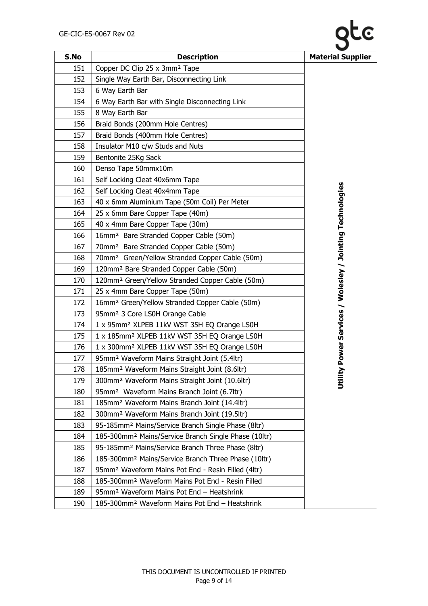

| S.No | <b>Description</b>                                               | <b>Material Supplier</b>                          |
|------|------------------------------------------------------------------|---------------------------------------------------|
| 151  | Copper DC Clip 25 x 3mm <sup>2</sup> Tape                        |                                                   |
| 152  | Single Way Earth Bar, Disconnecting Link                         |                                                   |
| 153  | 6 Way Earth Bar                                                  |                                                   |
| 154  | 6 Way Earth Bar with Single Disconnecting Link                   |                                                   |
| 155  | 8 Way Earth Bar                                                  |                                                   |
| 156  | Braid Bonds (200mm Hole Centres)                                 |                                                   |
| 157  | Braid Bonds (400mm Hole Centres)                                 |                                                   |
| 158  | Insulator M10 c/w Studs and Nuts                                 |                                                   |
| 159  | Bentonite 25Kg Sack                                              |                                                   |
| 160  | Denso Tape 50mmx10m                                              |                                                   |
| 161  | Self Locking Cleat 40x6mm Tape                                   |                                                   |
| 162  | Self Locking Cleat 40x4mm Tape                                   |                                                   |
| 163  | 40 x 6mm Aluminium Tape (50m Coil) Per Meter                     |                                                   |
| 164  | 25 x 6mm Bare Copper Tape (40m)                                  |                                                   |
| 165  | 40 x 4mm Bare Copper Tape (30m)                                  |                                                   |
| 166  | 16mm <sup>2</sup> Bare Stranded Copper Cable (50m)               |                                                   |
| 167  | 70mm <sup>2</sup> Bare Stranded Copper Cable (50m)               |                                                   |
| 168  | 70mm <sup>2</sup> Green/Yellow Stranded Copper Cable (50m)       |                                                   |
| 169  | 120mm <sup>2</sup> Bare Stranded Copper Cable (50m)              |                                                   |
| 170  | 120mm <sup>2</sup> Green/Yellow Stranded Copper Cable (50m)      |                                                   |
| 171  | 25 x 4mm Bare Copper Tape (50m)                                  | Power Services / Wolesley / Jointing Technologies |
| 172  | 16mm <sup>2</sup> Green/Yellow Stranded Copper Cable (50m)       |                                                   |
| 173  | 95mm <sup>2</sup> 3 Core LS0H Orange Cable                       |                                                   |
| 174  | 1 x 95mm <sup>2</sup> XLPEB 11kV WST 35H EQ Orange LS0H          |                                                   |
| 175  | 1 x 185mm <sup>2</sup> XLPEB 11kV WST 35H EQ Orange LS0H         |                                                   |
| 176  | 1 x 300mm <sup>2</sup> XLPEB 11kV WST 35H EQ Orange LS0H         |                                                   |
| 177  | 95mm <sup>2</sup> Waveform Mains Straight Joint (5.4ltr)         |                                                   |
| 178  | 185mm <sup>2</sup> Waveform Mains Straight Joint (8.6ltr)        | Σ                                                 |
| 179  | 300mm <sup>2</sup> Waveform Mains Straight Joint (10.6ltr)       | 言ち                                                |
| 180  | 95mm <sup>2</sup> Waveform Mains Branch Joint (6.7ltr)           |                                                   |
| 181  | 185mm <sup>2</sup> Waveform Mains Branch Joint (14.4ltr)         |                                                   |
| 182  | 300mm <sup>2</sup> Waveform Mains Branch Joint (19.5ltr)         |                                                   |
| 183  | 95-185mm <sup>2</sup> Mains/Service Branch Single Phase (8ltr)   |                                                   |
| 184  | 185-300mm <sup>2</sup> Mains/Service Branch Single Phase (10ltr) |                                                   |
| 185  | 95-185mm <sup>2</sup> Mains/Service Branch Three Phase (8ltr)    |                                                   |
| 186  | 185-300mm <sup>2</sup> Mains/Service Branch Three Phase (10ltr)  |                                                   |
| 187  | 95mm <sup>2</sup> Waveform Mains Pot End - Resin Filled (4ltr)   |                                                   |
| 188  | 185-300mm <sup>2</sup> Waveform Mains Pot End - Resin Filled     |                                                   |
| 189  | 95mm <sup>2</sup> Waveform Mains Pot End - Heatshrink            |                                                   |
| 190  | 185-300mm <sup>2</sup> Waveform Mains Pot End - Heatshrink       |                                                   |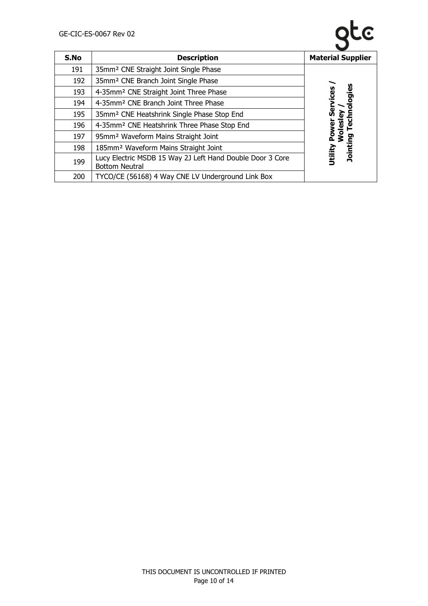

| S.No | <b>Description</b>                                                                 | <b>Material Supplier</b> |
|------|------------------------------------------------------------------------------------|--------------------------|
| 191  | 35mm <sup>2</sup> CNE Straight Joint Single Phase                                  |                          |
| 192  | 35mm <sup>2</sup> CNE Branch Joint Single Phase                                    |                          |
| 193  | 4-35mm <sup>2</sup> CNE Straight Joint Three Phase                                 | hnologies                |
| 194  | 4-35mm <sup>2</sup> CNE Branch Joint Three Phase                                   | Services                 |
| 195  | 35mm <sup>2</sup> CNE Heatshrink Single Phase Stop End                             | ᠗                        |
| 196  | 4-35mm <sup>2</sup> CNE Heatshrink Three Phase Stop End                            | <b>Ted</b>               |
| 197  | 95mm <sup>2</sup> Waveform Mains Straight Joint                                    | <b>Wolesle</b><br>Power  |
| 198  | 185mm <sup>2</sup> Waveform Mains Straight Joint                                   | Jointing                 |
| 199  | Lucy Electric MSDB 15 Way 2J Left Hand Double Door 3 Core<br><b>Bottom Neutral</b> | Utility                  |
| 200  | TYCO/CE (56168) 4 Way CNE LV Underground Link Box                                  |                          |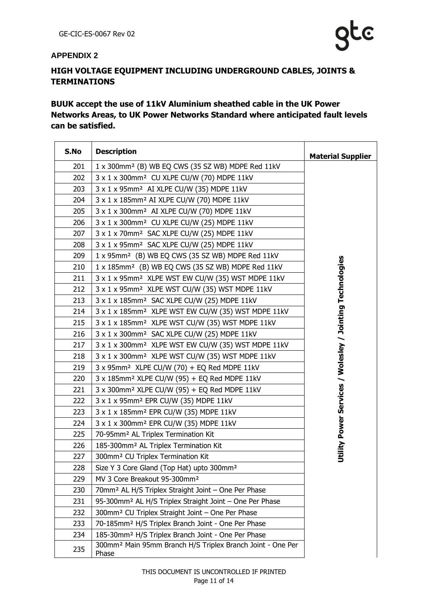#### <span id="page-10-0"></span>**APPENDIX 2**

## **HIGH VOLTAGE EQUIPMENT INCLUDING UNDERGROUND CABLES, JOINTS & TERMINATIONS**

### **BUUK accept the use of 11kV Aluminium sheathed cable in the UK Power Networks Areas, to UK Power Networks Standard where anticipated fault levels can be satisfied.**

| S.No | <b>Description</b>                                                              | <b>Material Supplier</b>                                  |
|------|---------------------------------------------------------------------------------|-----------------------------------------------------------|
| 201  | 1 x 300mm <sup>2</sup> (B) WB EQ CWS (35 SZ WB) MDPE Red 11kV                   |                                                           |
| 202  | 3 x 1 x 300mm <sup>2</sup> CU XLPE CU/W (70) MDPE 11kV                          |                                                           |
| 203  | 3 x 1 x 95mm <sup>2</sup> AI XLPE CU/W (35) MDPE 11kV                           |                                                           |
| 204  | 3 x 1 x 185mm <sup>2</sup> AI XLPE CU/W (70) MDPE 11kV                          |                                                           |
| 205  | 3 x 1 x 300mm <sup>2</sup> AI XLPE CU/W (70) MDPE 11kV                          |                                                           |
| 206  | 3 x 1 x 300mm <sup>2</sup> CU XLPE CU/W (25) MDPE 11kV                          |                                                           |
| 207  | 3 x 1 x 70mm <sup>2</sup> SAC XLPE CU/W (25) MDPE 11kV                          |                                                           |
| 208  | 3 x 1 x 95mm <sup>2</sup> SAC XLPE CU/W (25) MDPE 11kV                          |                                                           |
| 209  | 1 x 95mm <sup>2</sup> (B) WB EQ CWS (35 SZ WB) MDPE Red 11kV                    |                                                           |
| 210  | 1 x 185mm <sup>2</sup> (B) WB EQ CWS (35 SZ WB) MDPE Red 11kV                   |                                                           |
| 211  | 3 x 1 x 95mm <sup>2</sup> XLPE WST EW CU/W (35) WST MDPE 11kV                   |                                                           |
| 212  | 3 x 1 x 95mm <sup>2</sup> XLPE WST CU/W (35) WST MDPE 11kV                      |                                                           |
| 213  | 3 x 1 x 185mm <sup>2</sup> SAC XLPE CU/W (25) MDPE 11kV                         |                                                           |
| 214  | 3 x 1 x 185mm <sup>2</sup> XLPE WST EW CU/W (35) WST MDPE 11kV                  |                                                           |
| 215  | 3 x 1 x 185mm <sup>2</sup> XLPE WST CU/W (35) WST MDPE 11kV                     |                                                           |
| 216  | 3 x 1 x 300mm <sup>2</sup> SAC XLPE CU/W (25) MDPE 11kV                         |                                                           |
| 217  | 3 x 1 x 300mm <sup>2</sup> XLPE WST EW CU/W (35) WST MDPE 11kV                  |                                                           |
| 218  | 3 x 1 x 300mm <sup>2</sup> XLPE WST CU/W (35) WST MDPE 11kV                     | Utility Power Services / Wolesley / Jointing Technologies |
| 219  | 3 x 95mm <sup>2</sup> XLPE CU/W (70) + EQ Red MDPE 11kV                         |                                                           |
| 220  | 3 x 185mm <sup>2</sup> XLPE CU/W (95) + EQ Red MDPE 11kV                        |                                                           |
| 221  | 3 x 300mm <sup>2</sup> XLPE CU/W (95) + EQ Red MDPE 11kV                        |                                                           |
| 222  | 3 x 1 x 95mm <sup>2</sup> EPR CU/W (35) MDPE 11kV                               |                                                           |
| 223  | 3 x 1 x 185mm <sup>2</sup> EPR CU/W (35) MDPE 11kV                              |                                                           |
| 224  | 3 x 1 x 300mm <sup>2</sup> EPR CU/W (35) MDPE 11kV                              |                                                           |
| 225  | 70-95mm <sup>2</sup> AL Triplex Termination Kit                                 |                                                           |
| 226  | 185-300mm <sup>2</sup> AL Triplex Termination Kit                               |                                                           |
| 227  | 300mm <sup>2</sup> CU Triplex Termination Kit                                   |                                                           |
| 228  | Size Y 3 Core Gland (Top Hat) upto 300mm <sup>2</sup>                           |                                                           |
| 229  | MV 3 Core Breakout 95-300mm <sup>2</sup>                                        |                                                           |
| 230  | 70mm <sup>2</sup> AL H/S Triplex Straight Joint - One Per Phase                 |                                                           |
| 231  | 95-300mm <sup>2</sup> AL H/S Triplex Straight Joint - One Per Phase             |                                                           |
| 232  | 300mm <sup>2</sup> CU Triplex Straight Joint - One Per Phase                    |                                                           |
| 233  | 70-185mm <sup>2</sup> H/S Triplex Branch Joint - One Per Phase                  |                                                           |
| 234  | 185-30mm <sup>2</sup> H/S Triplex Branch Joint - One Per Phase                  |                                                           |
| 235  | 300mm <sup>2</sup> Main 95mm Branch H/S Triplex Branch Joint - One Per<br>Phase |                                                           |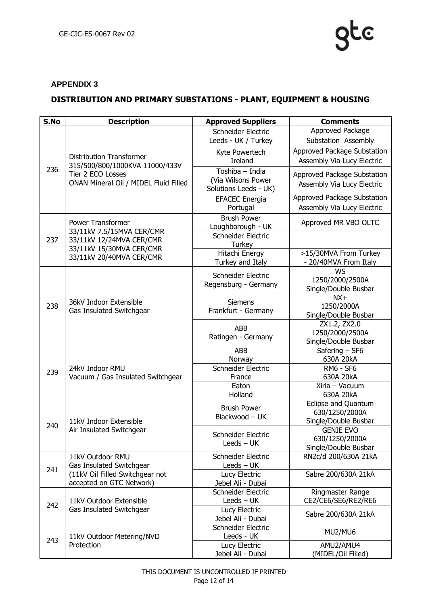### <span id="page-11-0"></span>**APPENDIX 3**

## **DISTRIBUTION AND PRIMARY SUBSTATIONS - PLANT, EQUIPMENT & HOUSING**

| S.No | <b>Description</b>                                                                                                                        | <b>Approved Suppliers</b>               | <b>Comments</b>                          |
|------|-------------------------------------------------------------------------------------------------------------------------------------------|-----------------------------------------|------------------------------------------|
| 236  |                                                                                                                                           | Schneider Electric                      | Approved Package                         |
|      |                                                                                                                                           | Leeds - UK / Turkey                     | Substation Assembly                      |
|      |                                                                                                                                           | Kyte Powertech                          | Approved Package Substation              |
|      | <b>Distribution Transformer</b><br>315/500/800/1000KVA 11000/433V<br>Tier 2 ECO Losses<br>ONAN Mineral Oil / MIDEL Fluid Filled           | <b>Ireland</b>                          | Assembly Via Lucy Electric               |
|      |                                                                                                                                           | Toshiba - India                         | Approved Package Substation              |
|      |                                                                                                                                           | (Via Wilsons Power                      | Assembly Via Lucy Electric               |
|      |                                                                                                                                           | Solutions Leeds - UK)                   |                                          |
|      |                                                                                                                                           | <b>EFACEC</b> Energia                   | Approved Package Substation              |
|      |                                                                                                                                           | Portugal                                | Assembly Via Lucy Electric               |
|      | <b>Power Transformer</b><br>33/11kV 7.5/15MVA CER/CMR<br>33/11kV 12/24MVA CER/CMR<br>33/11kV 15/30MVA CER/CMR<br>33/11kV 20/40MVA CER/CMR | <b>Brush Power</b>                      | Approved MR VBO OLTC                     |
|      |                                                                                                                                           | Loughborough - UK                       |                                          |
| 237  |                                                                                                                                           | Schneider Electric                      |                                          |
|      |                                                                                                                                           | Turkey<br>Hitachi Energy                | >15/30MVA From Turkey                    |
|      |                                                                                                                                           | Turkey and Italy                        | - 20/40MVA From Italy                    |
|      |                                                                                                                                           |                                         | <b>WS</b>                                |
|      |                                                                                                                                           | Schneider Electric                      | 1250/2000/2500A                          |
|      |                                                                                                                                           | Regensburg - Germany                    | Single/Double Busbar                     |
|      | 36kV Indoor Extensible                                                                                                                    | Siemens                                 | $NX+$                                    |
| 238  | Gas Insulated Switchgear                                                                                                                  | Frankfurt - Germany                     | 1250/2000A                               |
|      |                                                                                                                                           |                                         | Single/Double Busbar                     |
|      |                                                                                                                                           | <b>ABB</b><br>Ratingen - Germany        | ZX1.2, ZX2.0                             |
|      |                                                                                                                                           |                                         | 1250/2000/2500A<br>Single/Double Busbar  |
|      |                                                                                                                                           | <b>ABB</b>                              | Safering - SF6                           |
|      |                                                                                                                                           | Norway                                  | 630A 20kA                                |
|      | 24kV Indoor RMU                                                                                                                           | Schneider Electric                      | <b>RM6 - SF6</b>                         |
| 239  | Vacuum / Gas Insulated Switchgear                                                                                                         | France                                  | 630A 20kA                                |
|      |                                                                                                                                           | Eaton                                   | Xiria - Vacuum                           |
|      |                                                                                                                                           | Holland                                 | 630A 20kA                                |
|      | 11kV Indoor Extensible<br>Air Insulated Switchgear                                                                                        | <b>Brush Power</b><br>Blackwood - UK    | Eclipse and Quantum                      |
|      |                                                                                                                                           |                                         | 630/1250/2000A                           |
| 240  |                                                                                                                                           | Schneider Electric<br>Leeds $-$ UK      | Single/Double Busbar<br><b>GENIE EVO</b> |
|      |                                                                                                                                           |                                         | 630/1250/2000A                           |
|      |                                                                                                                                           |                                         | Single/Double Busbar                     |
|      | 11kV Outdoor RMU<br>Gas Insulated Switchgear<br>(11kV Oil Filled Switchgear not                                                           | Schneider Electric                      | RN2c/d 200/630A 21kA                     |
| 241  |                                                                                                                                           | Leeds – UK                              |                                          |
|      |                                                                                                                                           | Lucy Electric                           | Sabre 200/630A 21kA                      |
|      | accepted on GTC Network)                                                                                                                  | Jebel Ali - Dubai                       |                                          |
| 242  | 11kV Outdoor Extensible<br>Gas Insulated Switchgear                                                                                       | Schneider Electric                      | Ringmaster Range                         |
|      |                                                                                                                                           | Leeds – UK                              | CE2/CE6/SE6/RE2/RE6                      |
|      |                                                                                                                                           | Lucy Electric                           | Sabre 200/630A 21kA                      |
|      | 11kV Outdoor Metering/NVD                                                                                                                 | Jebel Ali - Dubai<br>Schneider Electric |                                          |
|      |                                                                                                                                           | Leeds - UK                              | MU2/MU6                                  |
| 243  | Protection                                                                                                                                | Lucy Electric                           | AMU2/AMU4                                |
|      |                                                                                                                                           | Jebel Ali - Dubai                       | (MIDEL/Oil Filled)                       |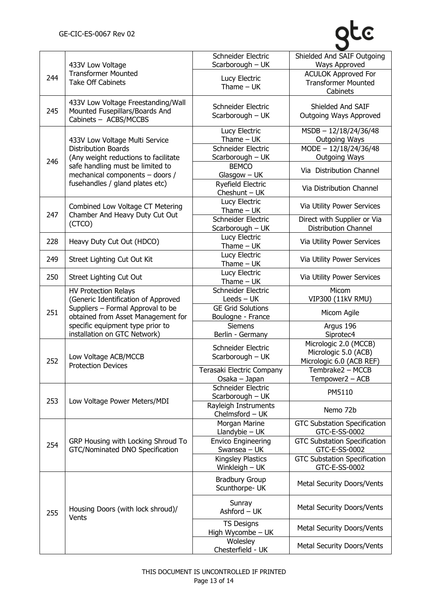# gte

| 244 | 433V Low Voltage<br><b>Transformer Mounted</b><br><b>Take Off Cabinets</b>                                                                                                                                        | Schneider Electric<br>Scarborough - UK        | Shielded And SAIF Outgoing<br>Ways Approved                               |
|-----|-------------------------------------------------------------------------------------------------------------------------------------------------------------------------------------------------------------------|-----------------------------------------------|---------------------------------------------------------------------------|
|     |                                                                                                                                                                                                                   | Lucy Electric<br>Thame $-$ UK                 | <b>ACULOK Approved For</b><br><b>Transformer Mounted</b><br>Cabinets      |
| 245 | 433V Low Voltage Freestanding/Wall<br>Mounted Fusepillars/Boards And<br>Cabinets - ACBS/MCCBS                                                                                                                     | Schneider Electric<br>Scarborough - UK        | Shielded And SAIF<br>Outgoing Ways Approved                               |
| 246 | 433V Low Voltage Multi Service<br><b>Distribution Boards</b><br>(Any weight reductions to facilitate<br>safe handling must be limited to<br>mechanical components - doors /<br>fusehandles / gland plates etc)    | Lucy Electric<br>Thame $-$ UK                 | $MSDB - 12/18/24/36/48$<br><b>Outgoing Ways</b>                           |
|     |                                                                                                                                                                                                                   | Schneider Electric<br>Scarborough - UK        | $MODE - 12/18/24/36/48$<br><b>Outgoing Ways</b>                           |
|     |                                                                                                                                                                                                                   | <b>BEMCO</b><br>$G$ lasgow $-$ UK             | Via Distribution Channel                                                  |
|     |                                                                                                                                                                                                                   | Ryefield Electric<br>Cheshunt $-$ UK          | Via Distribution Channel                                                  |
| 247 | Combined Low Voltage CT Metering<br>Chamber And Heavy Duty Cut Out<br>(CTCO)                                                                                                                                      | Lucy Electric<br>Thame $-$ UK                 | Via Utility Power Services                                                |
|     |                                                                                                                                                                                                                   | Schneider Electric<br>Scarborough - UK        | Direct with Supplier or Via<br><b>Distribution Channel</b>                |
| 228 | Heavy Duty Cut Out (HDCO)                                                                                                                                                                                         | Lucy Electric<br>Thame $-$ UK                 | Via Utility Power Services                                                |
| 249 | Street Lighting Cut Out Kit                                                                                                                                                                                       | Lucy Electric<br>Thame $-$ UK                 | Via Utility Power Services                                                |
| 250 | Street Lighting Cut Out                                                                                                                                                                                           | Lucy Electric<br>Thame $-$ UK                 | Via Utility Power Services                                                |
|     | <b>HV Protection Relays</b><br>(Generic Identification of Approved<br>Suppliers - Formal Approval to be<br>obtained from Asset Management for<br>specific equipment type prior to<br>installation on GTC Network) | Schneider Electric<br>Leeds – UK              | Micom<br>VIP300 (11kV RMU)                                                |
| 251 |                                                                                                                                                                                                                   | <b>GE Grid Solutions</b><br>Boulogne - France | Micom Agile                                                               |
|     |                                                                                                                                                                                                                   | <b>Siemens</b><br>Berlin - Germany            | Argus 196<br>Siprotec4                                                    |
| 252 | Low Voltage ACB/MCCB<br><b>Protection Devices</b>                                                                                                                                                                 | Schneider Electric<br>Scarborough - UK        | Micrologic 2.0 (MCCB)<br>Micrologic 5.0 (ACB)<br>Micrologic 6.0 (ACB REF) |
|     |                                                                                                                                                                                                                   | Terasaki Electric Company<br>Osaka - Japan    | Tembrake2 - MCCB<br>Tempower2 - ACB                                       |
|     | Low Voltage Power Meters/MDI                                                                                                                                                                                      | Schneider Electric<br>Scarborough - UK        | PM5110                                                                    |
| 253 |                                                                                                                                                                                                                   | Rayleigh Instruments<br>Chelmsford - UK       | Nemo 72b                                                                  |
| 254 | GRP Housing with Locking Shroud To<br>GTC/Nominated DNO Specification                                                                                                                                             | Morgan Marine<br>Llandybie $-$ UK             | <b>GTC Substation Specification</b><br>GTC-E-SS-0002                      |
|     |                                                                                                                                                                                                                   | <b>Envico Engineering</b><br>Swansea - UK     | <b>GTC Substation Specification</b><br>GTC-E-SS-0002                      |
|     |                                                                                                                                                                                                                   | Kingsley Plastics<br>Winkleigh $-$ UK         | <b>GTC Substation Specification</b><br>GTC-E-SS-0002                      |
| 255 | Housing Doors (with lock shroud)/<br>Vents                                                                                                                                                                        | <b>Bradbury Group</b><br>Scunthorpe- UK       | Metal Security Doors/Vents                                                |
|     |                                                                                                                                                                                                                   | Sunray<br>Ashford - UK                        | Metal Security Doors/Vents                                                |
|     |                                                                                                                                                                                                                   | <b>TS Designs</b><br>High Wycombe - UK        | Metal Security Doors/Vents                                                |
|     |                                                                                                                                                                                                                   | Wolesley<br>Chesterfield - UK                 | Metal Security Doors/Vents                                                |